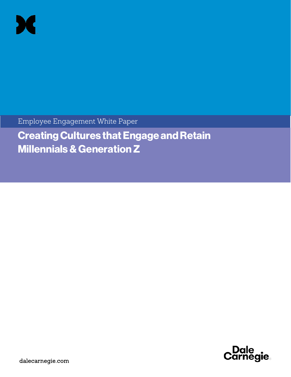

Employee Engagement White Paper

Creating Cultures that Engage and Retain Millennials & Generation Z



dalecarnegie.com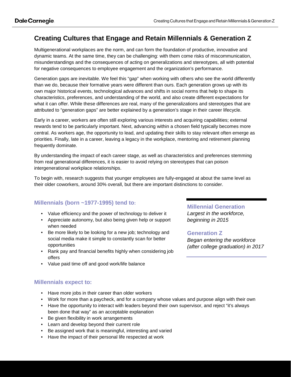# **Creating Cultures that Engage and Retain Millennials & Generation Z**

Multigenerational workplaces are the norm, and can form the foundation of productive, innovative and dynamic teams. At the same time, they can be challenging: with them come risks of miscommunication, misunderstandings and the consequences of acting on generalizations and stereotypes, all with potential for negative consequences to employee engagement and the organization's performance.

Generation gaps are inevitable. We feel this "gap" when working with others who see the world differently than we do, because their formative years were different than ours. Each generation grows up with its own major historical events, technological advances and shifts in social norms that help to shape its characteristics, preferences, and understanding of the world, and also create different expectations for what it can offer. While these differences are real, many of the generalizations and stereotypes that are attributed to "generation gaps" are better explained by a generation's stage in their career lifecycle.

Early in a career, workers are often still exploring various interests and acquiring capabilities; external rewards tend to be particularly important. Next, advancing within a chosen field typically becomes more central. As workers age, the opportunity to lead, and updating their skills to stay relevant often emerge as priorities. Finally, late in a career, leaving a legacy in the workplace, mentoring and retirement planning frequently dominate.

By understanding the impact of each career stage, as well as characteristics and preferences stemming from real generational differences, it is easier to avoid relying on stereotypes that can poison intergenerational workplace relationships.

To begin with, research suggests that younger employees are fully-engaged at about the same level as their older coworkers, around 30% overall, but there are important distinctions to consider.

# **Millennials (born ~1977-1995) tend to:**

- Value efficiency and the power of technology to deliver it
- Appreciate autonomy, but also being given help or support when needed
- Be more likely to be looking for a new job; technology and social media make it simple to constantly scan for better opportunities
- Rank pay and financial benefits highly when considering job offers
- Value paid time off and good work/life balance

### **Millennials expect to:**

- Have more jobs in their career than older workers
- Work for more than a paycheck, and for a company whose values and purpose align with their own
- Have the opportunity to interact with leaders beyond their own supervisor, and reject "it's always been done that way" as an acceptable explanation
- Be given flexibility in work arrangements
- Learn and develop beyond their current role
- Be assigned work that is meaningful, interesting and varied
- Have the impact of their personal life respected at work

### **Millennial Generation**

*Largest in the workforce, beginning in 2015*

#### **Generation Z**

*Began entering the workforce (after college graduation) in 2017*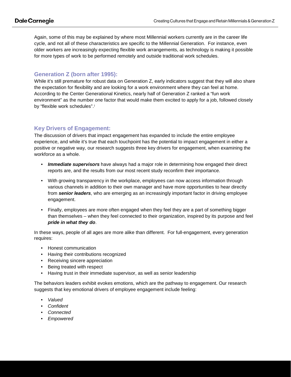Again, some of this may be explained by where most Millennial workers currently are in the career life cycle, and not all of these characteristics are specific to the Millennial Generation. For instance, even older workers are increasingly expecting flexible work arrangements, as technology is making it possible for more types of work to be performed remotely and outside traditional work schedules.

### **Generation Z (born after 1995):**

While it's still premature for robust data on Generation Z, early indicators suggest that they will also share the expectation for flexibility and are looking for a work environment where they can feel at home. According to the Center Generational Kinetics, nearly half of Generation Z ranked a "fun work environment" as the number one factor that would make them excited to apply for a job, followed closely by "flex[i](#page-3-0)ble work schedules".<sup>i</sup>

# **Key Drivers of Engagement:**

The discussion of drivers that impact engagement has expanded to include the entire employee experience, and while it's true that each touchpoint has the potential to impact engagement in either a positive or negative way, our research suggests three key drivers for engagement, when examining the workforce as a whole.

- *Immediate supervisors* have always had a major role in determining how engaged their direct reports are, and the results from our most recent study reconfirm their importance.
- With growing transparency in the workplace, employees can now access information through various channels in addition to their own manager and have more opportunities to hear directly from *senior leaders*, who are emerging as an increasingly important factor in driving employee engagement.
- Finally, employees are more often engaged when they feel they are a part of something bigger than themselves – when they feel connected to their organization, inspired by its purpose and feel *pride in what they do*.

In these ways, people of all ages are more alike than different. For full-engagement, every generation requires:

- Honest communication
- Having their contributions recognized
- Receiving sincere appreciation
- Being treated with respect
- Having trust in their immediate supervisor, as well as senior leadership

The behaviors leaders exhibit evokes emotions, which are the pathway to engagement. Our research suggests that key emotional drivers of employee engagement include feeling:

- *Valued*
- *Confident*
- *Connected*
- *Empowered*